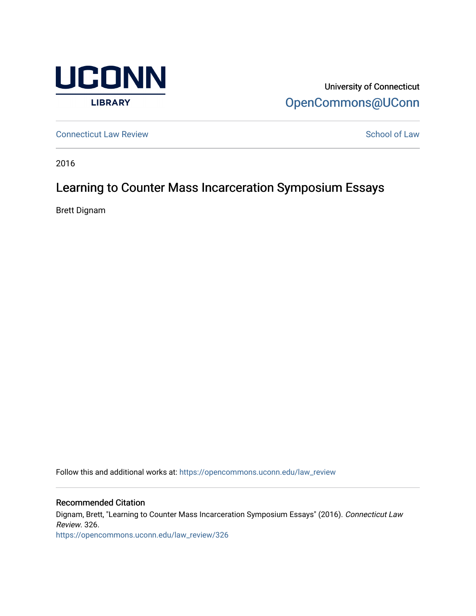

University of Connecticut [OpenCommons@UConn](https://opencommons.uconn.edu/) 

**[Connecticut Law Review](https://opencommons.uconn.edu/law_review) [School of Law](https://opencommons.uconn.edu/sol) Review School of Law School of Law School of Law School of Law School of Law School of Law School of Law School of Law School of Law School of Law School of Law School of Law School of** 

2016

## Learning to Counter Mass Incarceration Symposium Essays

Brett Dignam

Follow this and additional works at: [https://opencommons.uconn.edu/law\\_review](https://opencommons.uconn.edu/law_review?utm_source=opencommons.uconn.edu%2Flaw_review%2F326&utm_medium=PDF&utm_campaign=PDFCoverPages)

Recommended Citation

Dignam, Brett, "Learning to Counter Mass Incarceration Symposium Essays" (2016). Connecticut Law Review. 326.

[https://opencommons.uconn.edu/law\\_review/326](https://opencommons.uconn.edu/law_review/326?utm_source=opencommons.uconn.edu%2Flaw_review%2F326&utm_medium=PDF&utm_campaign=PDFCoverPages)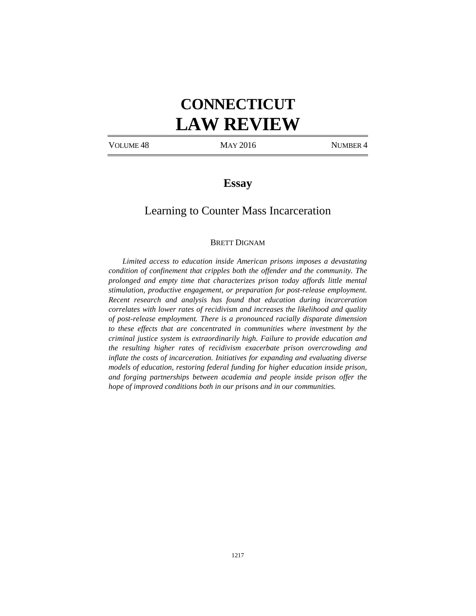# **CONNECTICUT LAW REVIEW**

VOLUME 48 MAY 2016 MUMBER 4

## **Essay**

## Learning to Counter Mass Incarceration

#### BRETT DIGNAM

*Limited access to education inside American prisons imposes a devastating condition of confinement that cripples both the offender and the community. The prolonged and empty time that characterizes prison today affords little mental stimulation, productive engagement, or preparation for post-release employment. Recent research and analysis has found that education during incarceration correlates with lower rates of recidivism and increases the likelihood and quality of post-release employment. There is a pronounced racially disparate dimension to these effects that are concentrated in communities where investment by the criminal justice system is extraordinarily high. Failure to provide education and the resulting higher rates of recidivism exacerbate prison overcrowding and inflate the costs of incarceration. Initiatives for expanding and evaluating diverse models of education, restoring federal funding for higher education inside prison, and forging partnerships between academia and people inside prison offer the hope of improved conditions both in our prisons and in our communities.*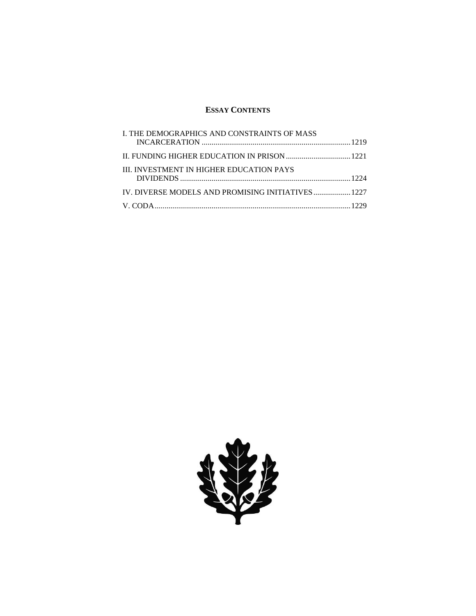### **ESSAY CONTENTS**

| L THE DEMOGRAPHICS AND CONSTRAINTS OF MASS         |  |
|----------------------------------------------------|--|
|                                                    |  |
| <b>III. INVESTMENT IN HIGHER EDUCATION PAYS</b>    |  |
| IV. DIVERSE MODELS AND PROMISING INITIATIVES  1227 |  |
|                                                    |  |
|                                                    |  |

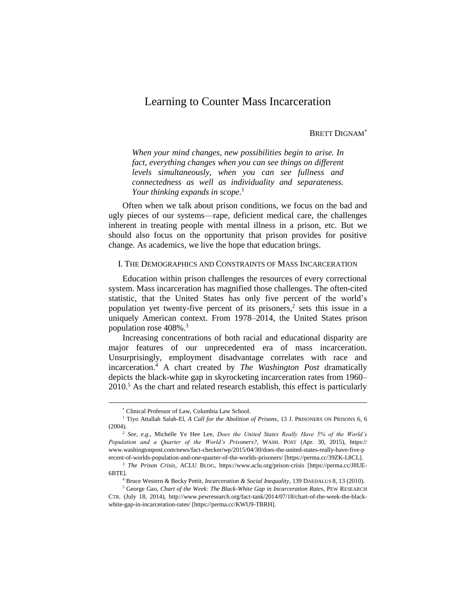## Learning to Counter Mass Incarceration

#### BRETT DIGNAM\*

*When your mind changes, new possibilities begin to arise. In fact, everything changes when you can see things on different levels simultaneously, when you can see fullness and connectedness as well as individuality and separateness. Your thinking expands in scope.*<sup>1</sup>

Often when we talk about prison conditions, we focus on the bad and ugly pieces of our systems—rape, deficient medical care, the challenges inherent in treating people with mental illness in a prison, etc. But we should also focus on the opportunity that prison provides for positive change. As academics, we live the hope that education brings.

#### I. THE DEMOGRAPHICS AND CONSTRAINTS OF MASS INCARCERATION

Education within prison challenges the resources of every correctional system. Mass incarceration has magnified those challenges. The often-cited statistic, that the United States has only five percent of the world's population yet twenty-five percent of its prisoners, 2 sets this issue in a uniquely American context. From 1978–2014, the United States prison population rose 408%.<sup>3</sup>

Increasing concentrations of both racial and educational disparity are major features of our unprecedented era of mass incarceration. Unsurprisingly, employment disadvantage correlates with race and incarceration.<sup>4</sup> A chart created by *The Washington Post* dramatically depicts the black-white gap in skyrocketing incarceration rates from 1960–  $2010<sup>5</sup>$  As the chart and related research establish, this effect is particularly

<sup>\*</sup> Clinical Professor of Law, Columbia Law School.

<sup>&</sup>lt;sup>1</sup> Tiyo Attallah Salah-El, *A Call for the Abolition of Prisons*, 13 J. PRISONERS ON PRISONS 6, 6 (2004).

<sup>2</sup> *See, e.g.*, Michelle Ye Hee Lee, *Does the United States Really Have 5% of the World's Population and a Quarter of the World's Prisoners?*, WASH. POST (Apr. 30, 2015), https:// www.washingtonpost.com/news/fact-checker/wp/2015/04/30/does-the-united-states-really-have-five-p ercent-of-worlds-population-and-one-quarter-of-the-worlds-prisoners/ [https://perma.cc/39ZK-L8CL].

<sup>3</sup> *The Prison Crisis*, ACLU BLOG, https://www.aclu.org/prison-crisis [https://perma.cc/J8UE-6BTE].

<sup>4</sup> Bruce Western & Becky Pettit, *Incarceration & Social Inequality*, 139 DAEDALUS 8, 13 (2010).

<sup>5</sup> George Gao, *Chart of the Week: The Black-White Gap in Incarceration Rates*, PEW RESEARCH CTR. (July 18, 2014), http://www.pewresearch.org/fact-tank/2014/07/18/chart-of-the-week-the-blackwhite-gap-in-incarceration-rates/ [https://perma.cc/KWU9-TBRH].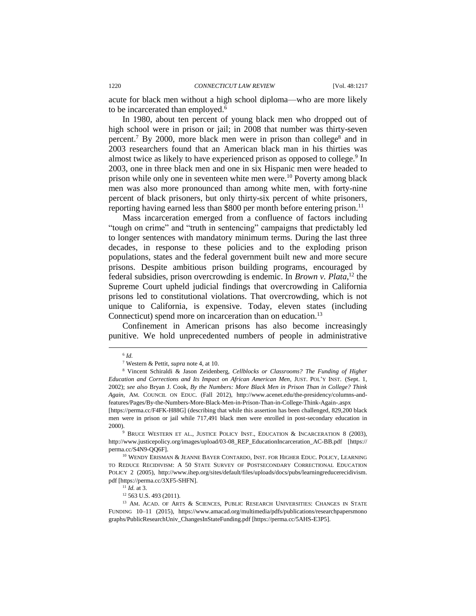acute for black men without a high school diploma—who are more likely to be incarcerated than employed.<sup>6</sup>

In 1980, about ten percent of young black men who dropped out of high school were in prison or jail; in 2008 that number was thirty-seven percent.<sup>7</sup> By 2000, more black men were in prison than college<sup>8</sup> and in 2003 researchers found that an American black man in his thirties was almost twice as likely to have experienced prison as opposed to college.<sup>9</sup> In 2003, one in three black men and one in six Hispanic men were headed to prison while only one in seventeen white men were.<sup>10</sup> Poverty among black men was also more pronounced than among white men, with forty-nine percent of black prisoners, but only thirty-six percent of white prisoners, reporting having earned less than \$800 per month before entering prison.<sup>11</sup>

Mass incarceration emerged from a confluence of factors including "tough on crime" and "truth in sentencing" campaigns that predictably led to longer sentences with mandatory minimum terms. During the last three decades, in response to these policies and to the exploding prison populations, states and the federal government built new and more secure prisons. Despite ambitious prison building programs, encouraged by federal subsidies, prison overcrowding is endemic. In *Brown v. Plata*, <sup>12</sup> the Supreme Court upheld judicial findings that overcrowding in California prisons led to constitutional violations. That overcrowding, which is not unique to California, is expensive. Today, eleven states (including Connecticut) spend more on incarceration than on education.<sup>13</sup>

Confinement in American prisons has also become increasingly punitive. We hold unprecedented numbers of people in administrative

<sup>6</sup> *Id.* 

<sup>7</sup> Western & Pettit, *supra* note 4, at 10.

<sup>8</sup> Vincent Schiraldi & Jason Zeidenberg, *Cellblocks or Classrooms? The Funding of Higher Education and Corrections and Its Impact on African American Men*, JUST. POL'Y INST. (Sept. 1, 2002); *see also* Bryan J. Cook, *By the Numbers: More Black Men in Prison Than in College? Think Again*, AM. COUNCIL ON EDUC. (Fall 2012), http://www.acenet.edu/the-presidency/columns-andfeatures/Pages/By-the-Numbers-More-Black-Men-in-Prison-Than-in-College-Think-Again-.aspx [https://perma.cc/F4FK-H88G] (describing that while this assertion has been challenged, 829,200 black

men were in prison or jail while 717,491 black men were enrolled in post-secondary education in 2000).

<sup>9</sup> BRUCE WESTERN ET AL., JUSTICE POLICY INST., EDUCATION & INCARCERATION 8 (2003), http://www.justicepolicy.org/images/upload/03-08\_REP\_EducationIncarceration\_AC-BB.pdf [https:// perma.cc/S4N9-QQ6F].

<sup>&</sup>lt;sup>10</sup> WENDY ERISMAN & JEANNE BAYER CONTARDO, INST. FOR HIGHER EDUC. POLICY, LEARNING TO REDUCE RECIDIVISM: A 50 STATE SURVEY OF POSTSECONDARY CORRECTIONAL EDUCATION POLICY 2 (2005), http://www.ihep.org/sites/default/files/uploads/docs/pubs/learningreducerecidivism. pdf [https://perma.cc/3XF5-SHFN].

<sup>11</sup> *Id.* at 3.

<sup>12</sup> 563 U.S. 493 (2011).

<sup>&</sup>lt;sup>13</sup> AM. ACAD. OF ARTS & SCIENCES, PUBLIC RESEARCH UNIVERSITIES: CHANGES IN STATE FUNDING 10–11 (2015), https://www.amacad.org/multimedia/pdfs/publications/researchpapersmono graphs/PublicResearchUniv\_ChangesInStateFunding.pdf [https://perma.cc/5AHS-E3P5].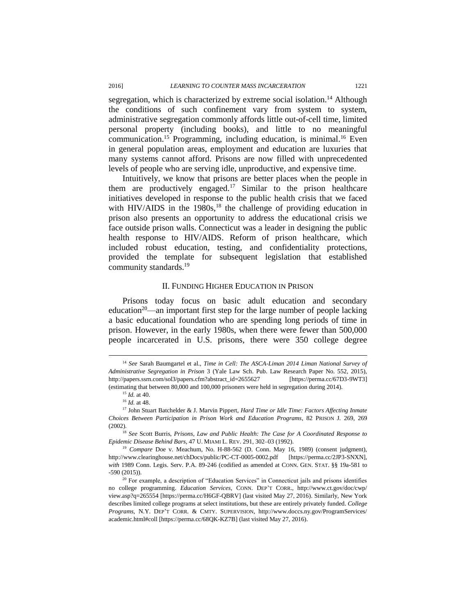segregation, which is characterized by extreme social isolation.<sup>14</sup> Although the conditions of such confinement vary from system to system, administrative segregation commonly affords little out-of-cell time, limited personal property (including books), and little to no meaningful communication.<sup>15</sup> Programming, including education, is minimal.<sup>16</sup> Even in general population areas, employment and education are luxuries that many systems cannot afford. Prisons are now filled with unprecedented levels of people who are serving idle, unproductive, and expensive time.

Intuitively, we know that prisons are better places when the people in them are productively engaged.<sup>17</sup> Similar to the prison healthcare initiatives developed in response to the public health crisis that we faced with HIV/AIDS in the  $1980s$ ,<sup>18</sup> the challenge of providing education in prison also presents an opportunity to address the educational crisis we face outside prison walls. Connecticut was a leader in designing the public health response to HIV/AIDS. Reform of prison healthcare, which included robust education, testing, and confidentiality protections, provided the template for subsequent legislation that established community standards.<sup>19</sup>

#### II. FUNDING HIGHER EDUCATION IN PRISON

Prisons today focus on basic adult education and secondary education<sup>20</sup>—an important first step for the large number of people lacking a basic educational foundation who are spending long periods of time in prison. However, in the early 1980s, when there were fewer than 500,000 people incarcerated in U.S. prisons, there were 350 college degree

 $\overline{\phantom{a}}$ 

<sup>14</sup> *See* Sarah Baumgartel et al., *Time in Cell: The ASCA-Liman 2014 Liman National Survey of Administrative Segregation in Prison* 3 (Yale Law Sch. Pub. Law Research Paper No. 552, 2015), http://papers.ssrn.com/sol3/papers.cfm?abstract\_id=2655627 [https://perma.cc/67D3-9WT3] (estimating that between 80,000 and 100,000 prisoners were held in segregation during 2014).

<sup>15</sup> *Id.* at 40.

<sup>16</sup> *Id.* at 48.

<sup>17</sup> John Stuart Batchelder & J. Marvin Pippert, *Hard Time or Idle Time: Factors Affecting Inmate Choices Between Participation in Prison Work and Education Programs*, 82 PRISON J. 269, 269 (2002).

<sup>18</sup> *See* Scott Burris, *Prisons, Law and Public Health: The Case for A Coordinated Response to Epidemic Disease Behind Bars*, 47 U. MIAMI L. REV. 291, 302–03 (1992).

<sup>&</sup>lt;sup>19</sup> *Compare* Doe v. Meachum, No. H-88-562 (D. Conn. May 16, 1989) (consent judgment), http://www.clearinghouse.net/chDocs/public/PC-CT-0005-0002.pdf [https://perma.cc/2JP3-SNXN], *with* 1989 Conn. Legis. Serv. P.A. 89-246 (codified as amended at CONN. GEN. STAT. §§ 19a-581 to -590 (2015)).

<sup>&</sup>lt;sup>20</sup> For example, a description of "Education Services" in Connecticut jails and prisons identifies no college programming. *Education Services*, CONN. DEP'T CORR., http://www.ct.gov/doc/cwp/ view.asp?q=265554 [https://perma.cc/H6GF-QBRV] (last visited May 27, 2016). Similarly, New York describes limited college programs at select institutions, but these are entirely privately funded. *College Programs*, N.Y. DEP'T CORR. & CMTY. SUPERVISION, http://www.doccs.ny.gov/ProgramServices/ academic.html#coll [https://perma.cc/68QK-KZ7B] (last visited May 27, 2016).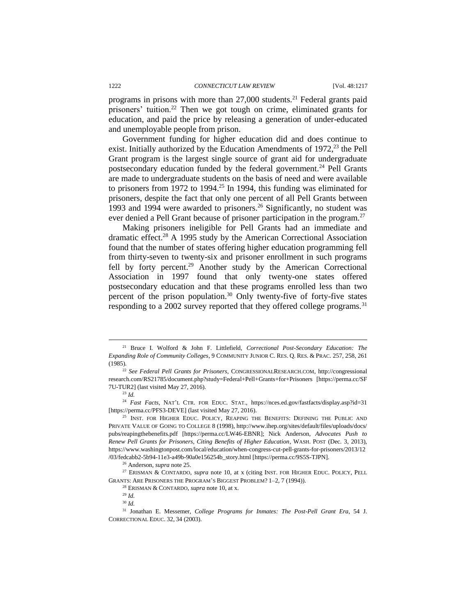programs in prisons with more than  $27,000$  students.<sup>21</sup> Federal grants paid prisoners' tuition.<sup>22</sup> Then we got tough on crime, eliminated grants for education, and paid the price by releasing a generation of under-educated and unemployable people from prison.

Government funding for higher education did and does continue to exist. Initially authorized by the Education Amendments of 1972,<sup>23</sup> the Pell Grant program is the largest single source of grant aid for undergraduate postsecondary education funded by the federal government.<sup>24</sup> Pell Grants are made to undergraduate students on the basis of need and were available to prisoners from 1972 to 1994.<sup>25</sup> In 1994, this funding was eliminated for prisoners, despite the fact that only one percent of all Pell Grants between 1993 and 1994 were awarded to prisoners.<sup>26</sup> Significantly, no student was ever denied a Pell Grant because of prisoner participation in the program.<sup>27</sup>

Making prisoners ineligible for Pell Grants had an immediate and dramatic effect.<sup>28</sup> A 1995 study by the American Correctional Association found that the number of states offering higher education programming fell from thirty-seven to twenty-six and prisoner enrollment in such programs fell by forty percent.<sup>29</sup> Another study by the American Correctional Association in 1997 found that only twenty-one states offered postsecondary education and that these programs enrolled less than two percent of the prison population.<sup>30</sup> Only twenty-five of forty-five states responding to a 2002 survey reported that they offered college programs.<sup>31</sup>

<sup>23</sup> *Id.*

 $\overline{\phantom{a}}$ 

<sup>24</sup> *Fast Facts*, NAT'L CTR. FOR EDUC. STAT., https://nces.ed.gov/fastfacts/display.asp?id=31 [https://perma.cc/PFS3-DEVE] (last visited May 27, 2016).

<sup>29</sup> *Id.*

<sup>21</sup> Bruce I. Wolford & John F. Littlefield, *Correctional Post-Secondary Education: The Expanding Role of Community Colleges*, 9 COMMUNITY JUNIOR C. RES. Q. RES. & PRAC. 257, 258, 261 (1985).

<sup>22</sup> *See Federal Pell Grants for Prisoners*, CONGRESSIONALRESEARCH.COM, http://congressional research.com/RS21785/document.php?study=Federal+Pell+Grants+for+Prisoners [https://perma.cc/SF 7U-TUR2] (last visited May 27, 2016).

<sup>&</sup>lt;sup>25</sup> INST. FOR HIGHER EDUC. POLICY, REAPING THE BENEFITS: DEFINING THE PUBLIC AND PRIVATE VALUE OF GOING TO COLLEGE 8 (1998), http://www.ihep.org/sites/default/files/uploads/docs/ pubs/reapingthebenefits.pdf [https://perma.cc/LW46-EBNR]; Nick Anderson, *Advocates Push to Renew Pell Grants for Prisoners, Citing Benefits of Higher Education*, WASH. POST (Dec. 3, 2013), https://www.washingtonpost.com/local/education/when-congress-cut-pell-grants-for-prisoners/2013/12 /03/fedcabb2-5b94-11e3-a49b-90a0e156254b\_story.html [https://perma.cc/9S5S-TJPN].

<sup>26</sup> Anderson, *supra* note 25.

<sup>27</sup> ERISMAN & CONTARDO, *supra* note 10, at x (citing INST. FOR HIGHER EDUC. POLICY, PELL GRANTS: ARE PRISONERS THE PROGRAM'S BIGGEST PROBLEM? 1–2, 7 (1994)).

<sup>28</sup> ERISMAN & CONTARDO, *supra* note 10, at x.

<sup>30</sup> *Id.*

<sup>31</sup> Jonathan E. Messemer, *College Programs for Inmates: The Post-Pell Grant Era*, 54 J. CORRECTIONAL EDUC. 32, 34 (2003).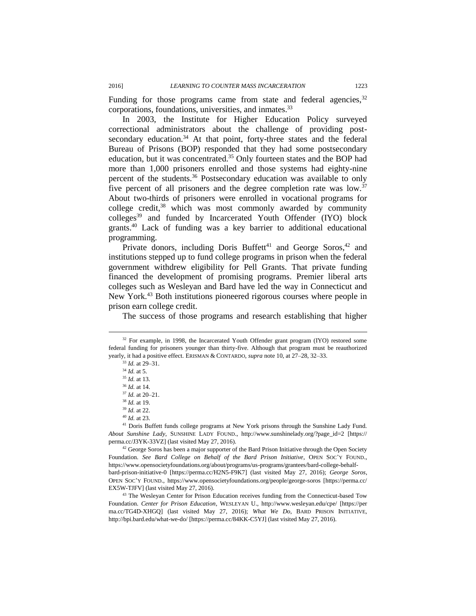Funding for those programs came from state and federal agencies,  $32$ corporations, foundations, universities, and inmates.<sup>33</sup>

In 2003, the Institute for Higher Education Policy surveyed correctional administrators about the challenge of providing postsecondary education.<sup>34</sup> At that point, forty-three states and the federal Bureau of Prisons (BOP) responded that they had some postsecondary education, but it was concentrated.<sup>35</sup> Only fourteen states and the BOP had more than 1,000 prisoners enrolled and those systems had eighty-nine percent of the students.<sup>36</sup> Postsecondary education was available to only five percent of all prisoners and the degree completion rate was low.<sup>37</sup> About two-thirds of prisoners were enrolled in vocational programs for college credit, <sup>38</sup> which was most commonly awarded by community colleges<sup>39</sup> and funded by Incarcerated Youth Offender (IYO) block grants.<sup>40</sup> Lack of funding was a key barrier to additional educational programming.

Private donors, including Doris Buffett<sup>41</sup> and George Soros,<sup>42</sup> and institutions stepped up to fund college programs in prison when the federal government withdrew eligibility for Pell Grants. That private funding financed the development of promising programs. Premier liberal arts colleges such as Wesleyan and Bard have led the way in Connecticut and New York.<sup>43</sup> Both institutions pioneered rigorous courses where people in prison earn college credit.

The success of those programs and research establishing that higher

 $\overline{\phantom{a}}$ 

<sup>42</sup> George Soros has been a major supporter of the Bard Prison Initiative through the Open Society Foundation. *See Bard College on Behalf of the Bard Prison Initiative*, OPEN SOC'Y FOUND., https://www.opensocietyfoundations.org/about/programs/us-programs/grantees/bard-college-behalfbard-prison-initiative-0 [https://perma.cc/H2N5-F9K7] (last visited May 27, 2016); *George Soros*, OPEN SOC'Y FOUND., https://www.opensocietyfoundations.org/people/george-soros [https://perma.cc/ EX5W-TJFV] (last visited May 27, 2016).

<sup>43</sup> The Wesleyan Center for Prison Education receives funding from the Connecticut-based Tow Foundation. *Center for Prison Education*, WESLEYAN U., http://www.wesleyan.edu/cpe/ [https://per ma.cc/TG4D-XHGQ] (last visited May 27, 2016); *What We Do*, BARD PRISON INITIATIVE, http://bpi.bard.edu/what-we-do/ [https://perma.cc/84KK-C5YJ] (last visited May 27, 2016).

<sup>&</sup>lt;sup>32</sup> For example, in 1998, the Incarcerated Youth Offender grant program (IYO) restored some federal funding for prisoners younger than thirty-five. Although that program must be reauthorized yearly, it had a positive effect. ERISMAN & CONTARDO, *supra* note 10, at 27–28, 32–33.

<sup>33</sup> *Id.* at 29–31.

<sup>34</sup> *Id.* at 5.

<sup>35</sup> *Id.* at 13.

<sup>36</sup> *Id.* at 14. <sup>37</sup> *Id.* at 20–21.

<sup>38</sup> *Id.* at 19.

<sup>39</sup> *Id.* at 22.

<sup>40</sup> *Id.* at 23.

<sup>&</sup>lt;sup>41</sup> Doris Buffett funds college programs at New York prisons through the Sunshine Lady Fund. *About Sunshine Lady*, SUNSHINE LADY FOUND., http://www.sunshinelady.org/?page\_id=2 [https:// perma.cc/J3YK-33VZ] (last visited May 27, 2016).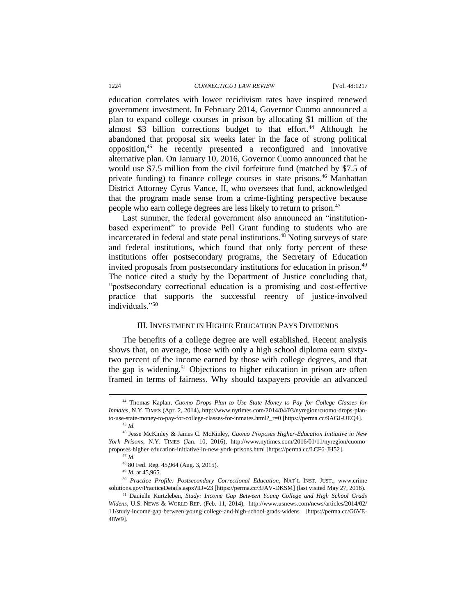education correlates with lower recidivism rates have inspired renewed government investment. In February 2014, Governor Cuomo announced a plan to expand college courses in prison by allocating \$1 million of the almost  $$3$  billion corrections budget to that effort.<sup>44</sup> Although he abandoned that proposal six weeks later in the face of strong political opposition,<sup>45</sup> he recently presented a reconfigured and innovative alternative plan. On January 10, 2016, Governor Cuomo announced that he would use \$7.5 million from the civil forfeiture fund (matched by \$7.5 of private funding) to finance college courses in state prisons.<sup>46</sup> Manhattan District Attorney Cyrus Vance, II, who oversees that fund, acknowledged that the program made sense from a crime-fighting perspective because people who earn college degrees are less likely to return to prison.<sup>47</sup>

Last summer, the federal government also announced an "institutionbased experiment" to provide Pell Grant funding to students who are incarcerated in federal and state penal institutions.<sup>48</sup> Noting surveys of state and federal institutions, which found that only forty percent of these institutions offer postsecondary programs, the Secretary of Education invited proposals from postsecondary institutions for education in prison.<sup>49</sup> The notice cited a study by the Department of Justice concluding that, "postsecondary correctional education is a promising and cost-effective practice that supports the successful reentry of justice-involved individuals<sup>"50</sup>

#### III. INVESTMENT IN HIGHER EDUCATION PAYS DIVIDENDS

The benefits of a college degree are well established. Recent analysis shows that, on average, those with only a high school diploma earn sixtytwo percent of the income earned by those with college degrees, and that the gap is widening.<sup>51</sup> Objections to higher education in prison are often framed in terms of fairness. Why should taxpayers provide an advanced

<sup>44</sup> Thomas Kaplan, *Cuomo Drops Plan to Use State Money to Pay for College Classes for Inmates*, N.Y. TIMES (Apr. 2, 2014), http://www.nytimes.com/2014/04/03/nyregion/cuomo-drops-planto-use-state-money-to-pay-for-college-classes-for-inmates.html?\_r=0 [https://perma.cc/9AGJ-UEQ4]. <sup>45</sup> *Id.*

<sup>46</sup> Jesse McKinley & James C. McKinley, *Cuomo Proposes Higher-Education Initiative in New York Prisons*, N.Y. TIMES (Jan. 10, 2016), http://www.nytimes.com/2016/01/11/nyregion/cuomoproposes-higher-education-initiative-in-new-york-prisons.html [https://perma.cc/LCF6-JH52]. <sup>47</sup> *Id.*

<sup>48</sup> 80 Fed. Reg. 45,964 (Aug. 3, 2015).

<sup>49</sup> *Id.* at 45,965.

<sup>50</sup> *Practice Profile: Postsecondary Correctional Education*, NAT'L INST. JUST., www.crime solutions.gov/PracticeDetails.aspx?ID=23 [https://perma.cc/3JAV-DKSM] (last visited May 27, 2016).

<sup>51</sup> Danielle Kurtzleben, *Study: Income Gap Between Young College and High School Grads Widens*, U.S. NEWS & WORLD REP. (Feb. 11, 2014), http://www.usnews.com/news/articles/2014/02/ 11/study-income-gap-between-young-college-and-high-school-grads-widens [https://perma.cc/G6VE-48W9].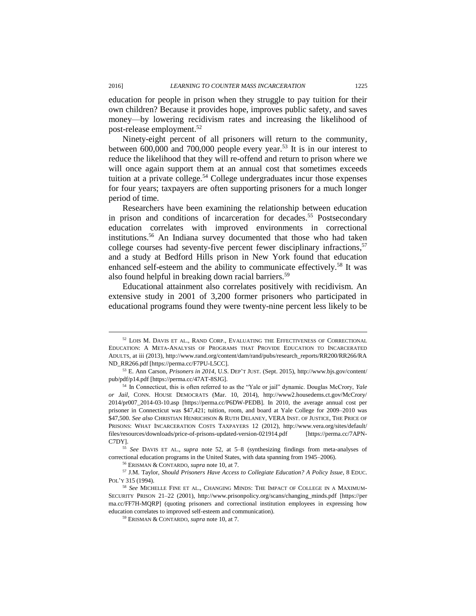$\overline{\phantom{a}}$ 

education for people in prison when they struggle to pay tuition for their own children? Because it provides hope, improves public safety, and saves money—by lowering recidivism rates and increasing the likelihood of post-release employment.<sup>52</sup>

Ninety-eight percent of all prisoners will return to the community, between 600,000 and 700,000 people every year.<sup>53</sup> It is in our interest to reduce the likelihood that they will re-offend and return to prison where we will once again support them at an annual cost that sometimes exceeds tuition at a private college.<sup>54</sup> College undergraduates incur those expenses for four years; taxpayers are often supporting prisoners for a much longer period of time.

Researchers have been examining the relationship between education in prison and conditions of incarceration for decades.<sup>55</sup> Postsecondary education correlates with improved environments in correctional institutions.<sup>56</sup> An Indiana survey documented that those who had taken college courses had seventy-five percent fewer disciplinary infractions, 57 and a study at Bedford Hills prison in New York found that education enhanced self-esteem and the ability to communicate effectively.<sup>58</sup> It was also found helpful in breaking down racial barriers.<sup>59</sup>

Educational attainment also correlates positively with recidivism. An extensive study in 2001 of 3,200 former prisoners who participated in educational programs found they were twenty-nine percent less likely to be

<sup>52</sup> LOIS M. DAVIS ET AL., RAND CORP., EVALUATING THE EFFECTIVENESS OF CORRECTIONAL EDUCATION: A META-ANALYSIS OF PROGRAMS THAT PROVIDE EDUCATION TO INCARCERATED ADULTS, at iii (2013), http://www.rand.org/content/dam/rand/pubs/research\_reports/RR200/RR266/RA ND\_RR266.pdf [https://perma.cc/F7PU-L5CC].

<sup>53</sup> E. Ann Carson, *Prisoners in 2014*, U.S. DEP'T JUST. (Sept. 2015), http://www.bjs.gov/content/ pub/pdf/p14.pdf [https://perma.cc/47AT-8SJG].

<sup>54</sup> In Connecticut, this is often referred to as the "Yale or jail" dynamic. Douglas McCrory, *Yale or Jail*, CONN. HOUSE DEMOCRATS (Mar. 10, 2014), http://www2.housedems.ct.gov/McCrory/ 2014/pr007\_2014-03-10.asp [https://perma.cc/P6DW-PEDB]. In 2010, the average annual cost per prisoner in Connecticut was \$47,421; tuition, room, and board at Yale College for 2009–2010 was \$47,500. *See also* CHRISTIAN HENRICHSON & RUTH DELANEY, VERA INST. OF JUSTICE, THE PRICE OF PRISONS: WHAT INCARCERATION COSTS TAXPAYERS 12 (2012), http://www.vera.org/sites/default/ files/resources/downloads/price-of-prisons-updated-version-021914.pdf [https://perma.cc/7APN-C7DY].

<sup>55</sup> *See* DAVIS ET AL., *supra* note 52, at 5–8 (synthesizing findings from meta-analyses of correctional education programs in the United States, with data spanning from 1945–2006).

<sup>56</sup> ERISMAN & CONTARDO, *supra* note 10, at 7.

<sup>57</sup> J.M. Taylor, *Should Prisoners Have Access to Collegiate Education? A Policy Issue*, 8 EDUC. POL'Y 315 (1994).

<sup>58</sup> *See* MICHELLE FINE ET AL., CHANGING MINDS: THE IMPACT OF COLLEGE IN A MAXIMUM-SECURITY PRISON 21–22 (2001), http://www.prisonpolicy.org/scans/changing\_minds.pdf [https://per ma.cc/FF7H-MQRP] (quoting prisoners and correctional institution employees in expressing how education correlates to improved self-esteem and communication).

<sup>59</sup> ERISMAN & CONTARDO, *supra* note 10, at 7.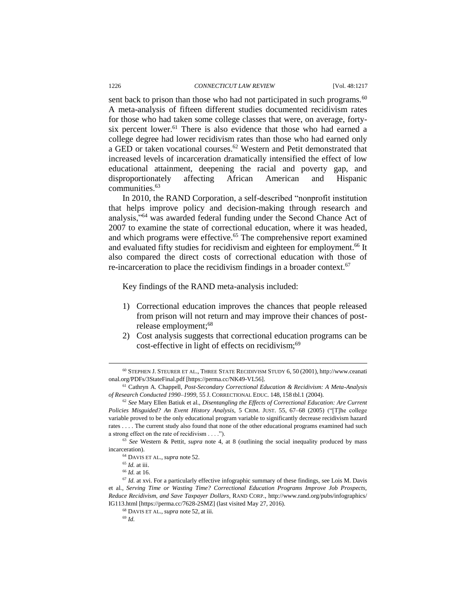sent back to prison than those who had not participated in such programs.<sup>60</sup> A meta-analysis of fifteen different studies documented recidivism rates for those who had taken some college classes that were, on average, fortysix percent lower.<sup>61</sup> There is also evidence that those who had earned a college degree had lower recidivism rates than those who had earned only a GED or taken vocational courses.<sup>62</sup> Western and Petit demonstrated that increased levels of incarceration dramatically intensified the effect of low educational attainment, deepening the racial and poverty gap, and disproportionately affecting African American and Hispanic communities.<sup>63</sup>

In 2010, the RAND Corporation, a self-described "nonprofit institution that helps improve policy and decision-making through research and analysis,"<sup>64</sup> was awarded federal funding under the Second Chance Act of 2007 to examine the state of correctional education, where it was headed, and which programs were effective.<sup>65</sup> The comprehensive report examined and evaluated fifty studies for recidivism and eighteen for employment. <sup>66</sup> It also compared the direct costs of correctional education with those of re-incarceration to place the recidivism findings in a broader context.<sup>67</sup>

Key findings of the RAND meta-analysis included:

- 1) Correctional education improves the chances that people released from prison will not return and may improve their chances of postrelease employment;<sup>68</sup>
- 2) Cost analysis suggests that correctional education programs can be cost-effective in light of effects on recidivism;<sup>69</sup>

 $\overline{\phantom{a}}$ 

<sup>60</sup> STEPHEN J. STEURER ET AL., THREE STATE RECIDIVISM STUDY 6, 50 (2001), http://www.ceanati onal.org/PDFs/3StateFinal.pdf [https://perma.cc/NK49-VL56].

<sup>61</sup> Cathryn A. Chappell, *Post-Secondary Correctional Education & Recidivism: A Meta-Analysis of Research Conducted 1990–1999*, 55 J. CORRECTIONAL EDUC. 148, 158 tbl.1 (2004).

<sup>62</sup> *See* Mary Ellen Batiuk et al., *Disentangling the Effects of Correctional Education: Are Current Policies Misguided? An Event History Analysis*, 5 CRIM. JUST. 55, 67–68 (2005) ("[T]he college variable proved to be the only educational program variable to significantly decrease recidivism hazard rates . . . . The current study also found that none of the other educational programs examined had such a strong effect on the rate of recidivism . . . .").

<sup>63</sup> *See* Western & Pettit, *supra* note 4, at 8 (outlining the social inequality produced by mass incarceration).

<sup>64</sup> DAVIS ET AL., *supra* note 52.

<sup>65</sup> *Id.* at iii.

<sup>66</sup> *Id.* at 16.

<sup>&</sup>lt;sup>67</sup> *Id.* at xvi. For a particularly effective infographic summary of these findings, see Lois M. Davis et al., *Serving Time or Wasting Time? Correctional Education Programs Improve Job Prospects, Reduce Recidivism, and Save Taxpayer Dollars*, RAND CORP., http://www.rand.org/pubs/infographics/ IG113.html [https://perma.cc/7628-2SMZ] (last visited May 27, 2016).

<sup>68</sup> DAVIS ET AL., *supra* note 52, at iii.

<sup>69</sup> *Id.*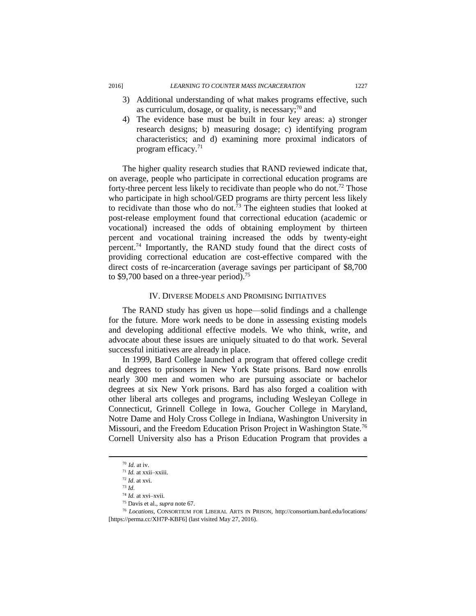- 3) Additional understanding of what makes programs effective, such as curriculum, dosage, or quality, is necessary; $\frac{70}{10}$  and
- 4) The evidence base must be built in four key areas: a) stronger research designs; b) measuring dosage; c) identifying program characteristics; and d) examining more proximal indicators of program efficacy.<sup>71</sup>

The higher quality research studies that RAND reviewed indicate that, on average, people who participate in correctional education programs are forty-three percent less likely to recidivate than people who do not.<sup>72</sup> Those who participate in high school/GED programs are thirty percent less likely to recidivate than those who do not.<sup>73</sup> The eighteen studies that looked at post-release employment found that correctional education (academic or vocational) increased the odds of obtaining employment by thirteen percent and vocational training increased the odds by twenty-eight percent.<sup>74</sup> Importantly, the RAND study found that the direct costs of providing correctional education are cost-effective compared with the direct costs of re-incarceration (average savings per participant of \$8,700 to \$9,700 based on a three-year period).<sup>75</sup>

#### IV. DIVERSE MODELS AND PROMISING INITIATIVES

The RAND study has given us hope—solid findings and a challenge for the future. More work needs to be done in assessing existing models and developing additional effective models. We who think, write, and advocate about these issues are uniquely situated to do that work. Several successful initiatives are already in place.

In 1999, Bard College launched a program that offered college credit and degrees to prisoners in New York State prisons. Bard now enrolls nearly 300 men and women who are pursuing associate or bachelor degrees at six New York prisons. Bard has also forged a coalition with other liberal arts colleges and programs, including Wesleyan College in Connecticut, Grinnell College in Iowa, Goucher College in Maryland, Notre Dame and Holy Cross College in Indiana, Washington University in Missouri, and the Freedom Education Prison Project in Washington State.<sup>76</sup> Cornell University also has a Prison Education Program that provides a

 $\overline{\phantom{a}}$ 

<sup>75</sup> Davis et al., *supra* note 67.

<sup>70</sup> *Id.* at iv.

<sup>71</sup> *Id.* at xxii–xxiii.

<sup>72</sup> *Id*. at xvi.

<sup>73</sup> *Id.* 

<sup>74</sup> *Id.* at xvi–xvii.

<sup>76</sup> *Locations*, CONSORTIUM FOR LIBERAL ARTS IN PRISON, http://consortium.bard.edu/locations/ [https://perma.cc/XH7P-KBF6] (last visited May 27, 2016).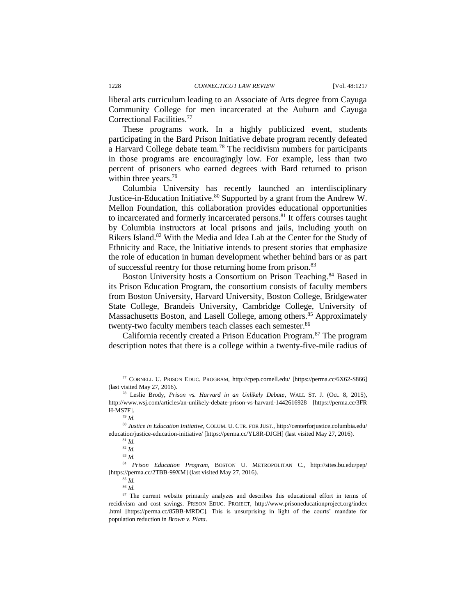liberal arts curriculum leading to an Associate of Arts degree from Cayuga Community College for men incarcerated at the Auburn and Cayuga Correctional Facilities.<sup>77</sup>

These programs work. In a highly publicized event, students participating in the Bard Prison Initiative debate program recently defeated a Harvard College debate team.<sup>78</sup> The recidivism numbers for participants in those programs are encouragingly low. For example, less than two percent of prisoners who earned degrees with Bard returned to prison within three years.<sup>79</sup>

Columbia University has recently launched an interdisciplinary Justice-in-Education Initiative.<sup>80</sup> Supported by a grant from the Andrew W. Mellon Foundation, this collaboration provides educational opportunities to incarcerated and formerly incarcerated persons.<sup>81</sup> It offers courses taught by Columbia instructors at local prisons and jails, including youth on Rikers Island.<sup>82</sup> With the Media and Idea Lab at the Center for the Study of Ethnicity and Race, the Initiative intends to present stories that emphasize the role of education in human development whether behind bars or as part of successful reentry for those returning home from prison.<sup>83</sup>

Boston University hosts a Consortium on Prison Teaching.<sup>84</sup> Based in its Prison Education Program, the consortium consists of faculty members from Boston University, Harvard University, Boston College, Bridgewater State College, Brandeis University, Cambridge College, University of Massachusetts Boston, and Lasell College, among others.<sup>85</sup> Approximately twenty-two faculty members teach classes each semester.<sup>86</sup>

California recently created a Prison Education Program.<sup>87</sup> The program description notes that there is a college within a twenty-five-mile radius of

l

<sup>84</sup> *Prison Education Program*, BOSTON U. METROPOLITAN C., http://sites.bu.edu/pep/ [https://perma.cc/2TBB-99XM] (last visited May 27, 2016).

 $85$   $\overline{Id}$ .

<sup>77</sup> CORNELL U. PRISON EDUC. PROGRAM, http://cpep.cornell.edu/ [https://perma.cc/6X62-S866] (last visited May 27, 2016).

<sup>78</sup> Leslie Brody, *Prison vs. Harvard in an Unlikely Debate*, WALL ST. J. (Oct. 8, 2015), http://www.wsj.com/articles/an-unlikely-debate-prison-vs-harvard-1442616928 [https://perma.cc/3FR H-MS7F].

<sup>79</sup> *Id.*

<sup>80</sup> *Justice in Education Initiative*, COLUM. U. CTR. FOR JUST., http://centerforjustice.columbia.edu/ education/justice-education-initiative/ [https://perma.cc/YL8R-DJGH] (last visited May 27, 2016).

<sup>81</sup> *Id.*

<sup>82</sup> *Id.*

<sup>83</sup> *Id.*

<sup>86</sup> *Id.*

<sup>&</sup>lt;sup>87</sup> The current website primarily analyzes and describes this educational effort in terms of recidivism and cost savings. PRISON EDUC. PROJECT, http://www.prisoneducationproject.org/index .html [https://perma.cc/85BB-MRDC]. This is unsurprising in light of the courts' mandate for population reduction in *Brown v. Plata*.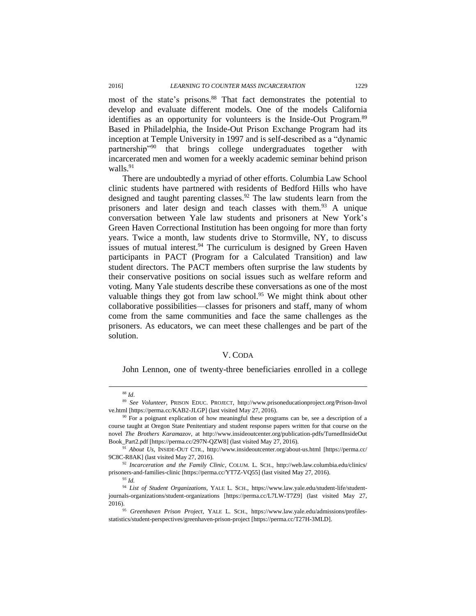most of the state's prisons.<sup>88</sup> That fact demonstrates the potential to develop and evaluate different models. One of the models California identifies as an opportunity for volunteers is the Inside-Out Program.<sup>89</sup> Based in Philadelphia, the Inside-Out Prison Exchange Program had its inception at Temple University in 1997 and is self-described as a "dynamic partnership"<sup>90</sup> that brings college undergraduates together with incarcerated men and women for a weekly academic seminar behind prison walls. $91$ 

There are undoubtedly a myriad of other efforts. Columbia Law School clinic students have partnered with residents of Bedford Hills who have designed and taught parenting classes.<sup>92</sup> The law students learn from the prisoners and later design and teach classes with them.<sup>93</sup> A unique conversation between Yale law students and prisoners at New York's Green Haven Correctional Institution has been ongoing for more than forty years. Twice a month, law students drive to Stormville, NY, to discuss issues of mutual interest. $94$  The curriculum is designed by Green Haven participants in PACT (Program for a Calculated Transition) and law student directors. The PACT members often surprise the law students by their conservative positions on social issues such as welfare reform and voting. Many Yale students describe these conversations as one of the most valuable things they got from law school.<sup>95</sup> We might think about other collaborative possibilities—classes for prisoners and staff, many of whom come from the same communities and face the same challenges as the prisoners. As educators, we can meet these challenges and be part of the solution.

#### V. CODA

John Lennon, one of twenty-three beneficiaries enrolled in a college

 $\overline{\phantom{a}}$ 

<sup>88</sup> *Id*.

<sup>89</sup> *See Volunteer*, PRISON EDUC. PROJECT, http://www.prisoneducationproject.org/Prison-Invol ve.html [https://perma.cc/KAB2-JLGP] (last visited May 27, 2016).

<sup>&</sup>lt;sup>90</sup> For a poignant explication of how meaningful these programs can be, see a description of a course taught at Oregon State Penitentiary and student response papers written for that course on the novel *The Brothers Karamazov*, at http://www.insideoutcenter.org/publication-pdfs/TurnedInsideOut Book\_Part2.pdf [https://perma.cc/297N-QZW8] (last visited May 27, 2016).

<sup>91</sup> *About Us*, INSIDE-OUT CTR., http://www.insideoutcenter.org/about-us.html [https://perma.cc/ 9C8C-R8AK] (last visited May 27, 2016).

<sup>92</sup> *Incarceration and the Family Clinic*, COLUM. L. SCH., http://web.law.columbia.edu/clinics/ prisoners-and-families-clinic [https://perma.cc/YT7Z-VQ55] (last visited May 27, 2016).

<sup>93</sup> *Id.* 

<sup>94</sup> *List of Student Organizations*, YALE L. SCH., https://www.law.yale.edu/student-life/studentjournals-organizations/student-organizations [https://perma.cc/L7LW-T7Z9] (last visited May 27, 2016).

<sup>95</sup> *Greenhaven Prison Project*, YALE L. SCH., https://www.law.yale.edu/admissions/profilesstatistics/student-perspectives/greenhaven-prison-project [https://perma.cc/T27H-3MLD].